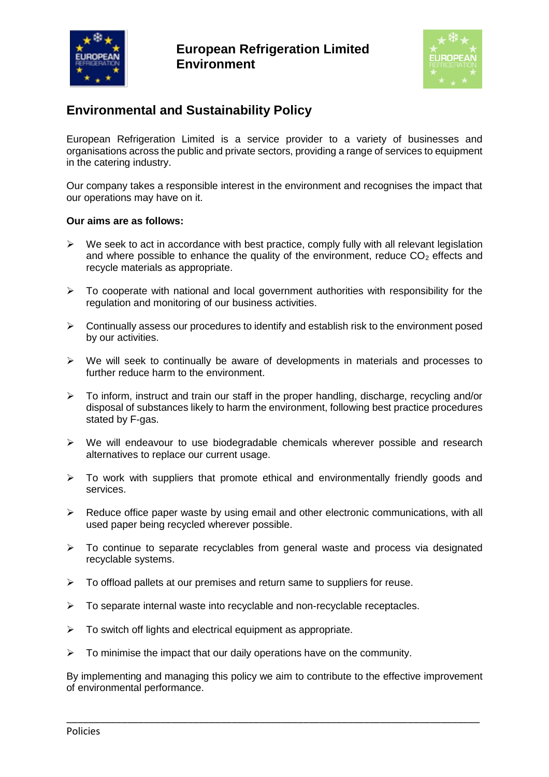



# **Environmental and Sustainability Policy**

European Refrigeration Limited is a service provider to a variety of businesses and organisations across the public and private sectors, providing a range of services to equipment in the catering industry.

Our company takes a responsible interest in the environment and recognises the impact that our operations may have on it.

# **Our aims are as follows:**

- $\triangleright$  We seek to act in accordance with best practice, comply fully with all relevant legislation and where possible to enhance the quality of the environment, reduce  $CO<sub>2</sub>$  effects and recycle materials as appropriate.
- $\triangleright$  To cooperate with national and local government authorities with responsibility for the regulation and monitoring of our business activities.
- ➢ Continually assess our procedures to identify and establish risk to the environment posed by our activities.
- ➢ We will seek to continually be aware of developments in materials and processes to further reduce harm to the environment.
- $\triangleright$  To inform, instruct and train our staff in the proper handling, discharge, recycling and/or disposal of substances likely to harm the environment, following best practice procedures stated by F-gas.
- $\triangleright$  We will endeavour to use biodegradable chemicals wherever possible and research alternatives to replace our current usage.
- ➢ To work with suppliers that promote ethical and environmentally friendly goods and services.
- $\triangleright$  Reduce office paper waste by using email and other electronic communications, with all used paper being recycled wherever possible.
- ➢ To continue to separate recyclables from general waste and process via designated recyclable systems.
- $\triangleright$  To offload pallets at our premises and return same to suppliers for reuse.
- $\triangleright$  To separate internal waste into recyclable and non-recyclable receptacles.
- ➢ To switch off lights and electrical equipment as appropriate.
- $\triangleright$  To minimise the impact that our daily operations have on the community.

By implementing and managing this policy we aim to contribute to the effective improvement of environmental performance.

\_\_\_\_\_\_\_\_\_\_\_\_\_\_\_\_\_\_\_\_\_\_\_\_\_\_\_\_\_\_\_\_\_\_\_\_\_\_\_\_\_\_\_\_\_\_\_\_\_\_\_\_\_\_\_\_\_\_\_\_\_\_\_\_\_\_\_\_\_\_\_\_\_\_\_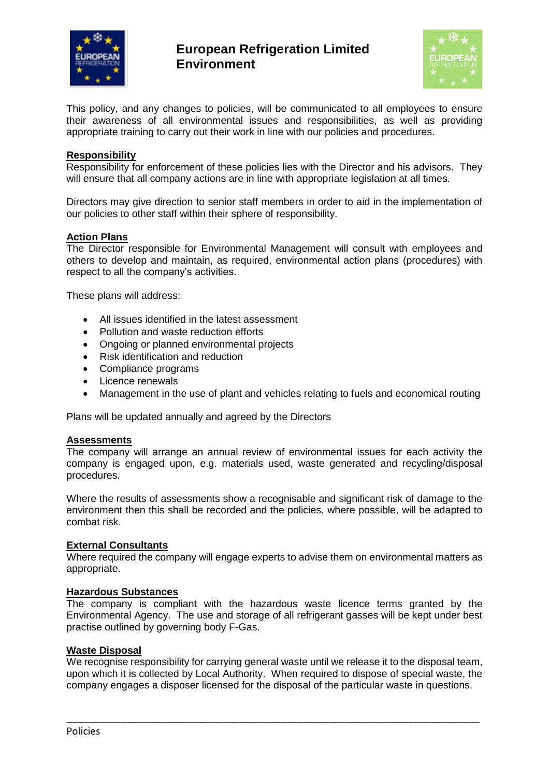



This policy, and any changes to policies, will be communicated to all employees to ensure their awareness of all environmental issues and responsibilities, as well as providing appropriate training to carry out their work in line with our policies and procedures.

# **Responsibility**

Responsibility for enforcement of these policies lies with the Director and his advisors. They will ensure that all company actions are in line with appropriate legislation at all times.

Directors may give direction to senior staff members in order to aid in the implementation of our policies to other staff within their sphere of responsibility.

## **Action Plans**

The Director responsible for Environmental Management will consult with employees and others to develop and maintain, as required, environmental action plans (procedures) with respect to all the company's activities.

These plans will address:

- All issues identified in the latest assessment
- Pollution and waste reduction efforts
- Ongoing or planned environmental projects
- Risk identification and reduction
- Compliance programs
- Licence renewals
- Management in the use of plant and vehicles relating to fuels and economical routing

Plans will be updated annually and agreed by the Directors

### **Assessments**

The company will arrange an annual review of environmental issues for each activity the company is engaged upon, e.g. materials used, waste generated and recycling/disposal procedures.

Where the results of assessments show a recognisable and significant risk of damage to the environment then this shall be recorded and the policies, where possible, will be adapted to combat risk.

#### **External Consultants**

Where required the company will engage experts to advise them on environmental matters as appropriate.

#### **Hazardous Substances**

The company is compliant with the hazardous waste licence terms granted by the Environmental Agency. The use and storage of all refrigerant gasses will be kept under best practise outlined by governing body F-Gas.

### **Waste Disposal**

We recognise responsibility for carrying general waste until we release it to the disposal team, upon which it is collected by Local Authority. When required to dispose of special waste, the company engages a disposer licensed for the disposal of the particular waste in questions.

\_\_\_\_\_\_\_\_\_\_\_\_\_\_\_\_\_\_\_\_\_\_\_\_\_\_\_\_\_\_\_\_\_\_\_\_\_\_\_\_\_\_\_\_\_\_\_\_\_\_\_\_\_\_\_\_\_\_\_\_\_\_\_\_\_\_\_\_\_\_\_\_\_\_\_